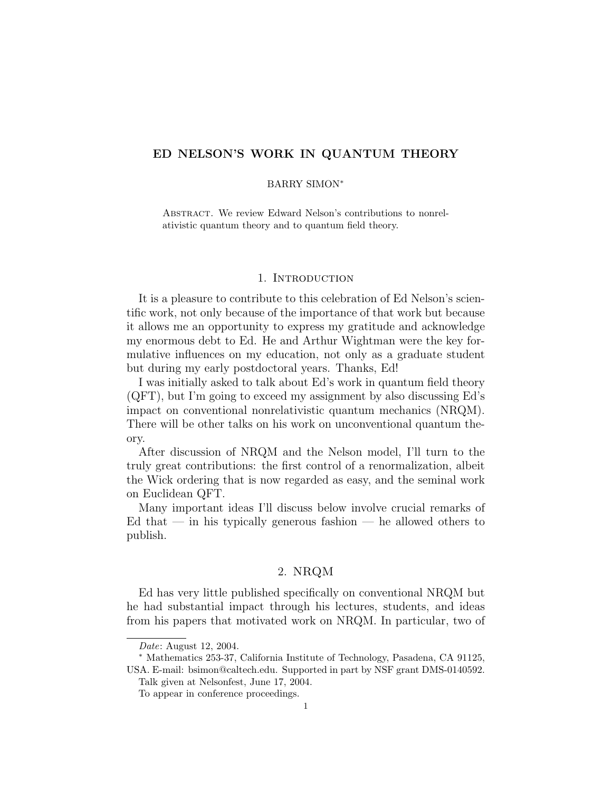# ED NELSON'S WORK IN QUANTUM THEORY

## BARRY SIMON<sup>∗</sup>

ABSTRACT. We review Edward Nelson's contributions to nonrelativistic quantum theory and to quantum field theory.

# 1. INTRODUCTION

It is a pleasure to contribute to this celebration of Ed Nelson's scientific work, not only because of the importance of that work but because it allows me an opportunity to express my gratitude and acknowledge my enormous debt to Ed. He and Arthur Wightman were the key formulative influences on my education, not only as a graduate student but during my early postdoctoral years. Thanks, Ed!

I was initially asked to talk about Ed's work in quantum field theory (QFT), but I'm going to exceed my assignment by also discussing Ed's impact on conventional nonrelativistic quantum mechanics (NRQM). There will be other talks on his work on unconventional quantum theory.

After discussion of NRQM and the Nelson model, I'll turn to the truly great contributions: the first control of a renormalization, albeit the Wick ordering that is now regarded as easy, and the seminal work on Euclidean QFT.

Many important ideas I'll discuss below involve crucial remarks of Ed that — in his typically generous fashion — he allowed others to publish.

## 2. NRQM

Ed has very little published specifically on conventional NRQM but he had substantial impact through his lectures, students, and ideas from his papers that motivated work on NRQM. In particular, two of

Date: August 12, 2004.

<sup>∗</sup> Mathematics 253-37, California Institute of Technology, Pasadena, CA 91125, USA. E-mail: bsimon@caltech.edu. Supported in part by NSF grant DMS-0140592.

Talk given at Nelsonfest, June 17, 2004.

To appear in conference proceedings.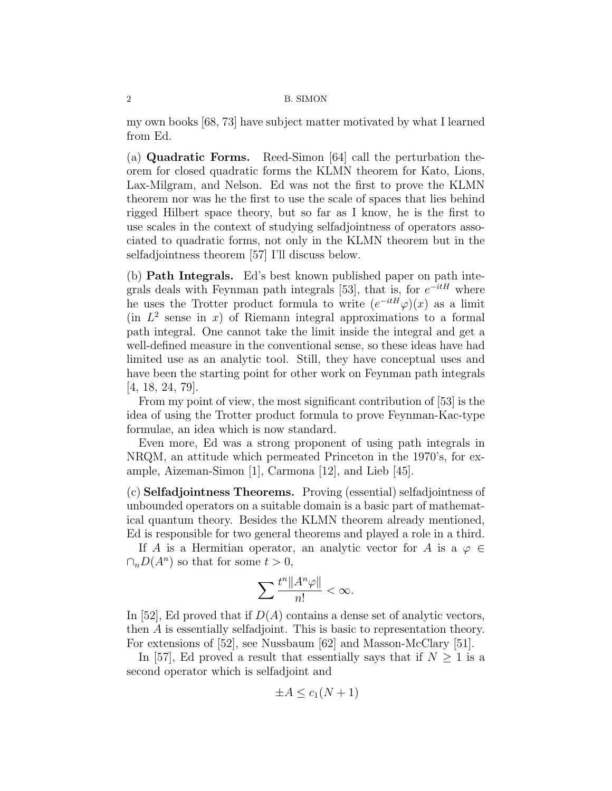my own books [68, 73] have subject matter motivated by what I learned from Ed.

(a) Quadratic Forms. Reed-Simon [64] call the perturbation theorem for closed quadratic forms the KLMN theorem for Kato, Lions, Lax-Milgram, and Nelson. Ed was not the first to prove the KLMN theorem nor was he the first to use the scale of spaces that lies behind rigged Hilbert space theory, but so far as I know, he is the first to use scales in the context of studying selfadjointness of operators associated to quadratic forms, not only in the KLMN theorem but in the selfadjointness theorem [57] I'll discuss below.

(b) Path Integrals. Ed's best known published paper on path integrals deals with Feynman path integrals [53], that is, for  $e^{-itH}$  where he uses the Trotter product formula to write  $(e^{-itH}\varphi)(x)$  as a limit (in  $L^2$  sense in x) of Riemann integral approximations to a formal path integral. One cannot take the limit inside the integral and get a well-defined measure in the conventional sense, so these ideas have had limited use as an analytic tool. Still, they have conceptual uses and have been the starting point for other work on Feynman path integrals [4, 18, 24, 79].

From my point of view, the most significant contribution of [53] is the idea of using the Trotter product formula to prove Feynman-Kac-type formulae, an idea which is now standard.

Even more, Ed was a strong proponent of using path integrals in NRQM, an attitude which permeated Princeton in the 1970's, for example, Aizeman-Simon [1], Carmona [12], and Lieb [45].

(c) Selfadjointness Theorems. Proving (essential) selfadjointness of unbounded operators on a suitable domain is a basic part of mathematical quantum theory. Besides the KLMN theorem already mentioned, Ed is responsible for two general theorems and played a role in a third.

If A is a Hermitian operator, an analytic vector for A is a  $\varphi \in$  $\cap_n D(A^n)$  so that for some  $t > 0$ ,

$$
\sum \frac{t^n \|A^n \varphi\|}{n!} < \infty.
$$

In [52], Ed proved that if  $D(A)$  contains a dense set of analytic vectors, then A is essentially selfadjoint. This is basic to representation theory. For extensions of [52], see Nussbaum [62] and Masson-McClary [51].

In [57], Ed proved a result that essentially says that if  $N \geq 1$  is a second operator which is selfadjoint and

$$
\pm A \le c_1(N+1)
$$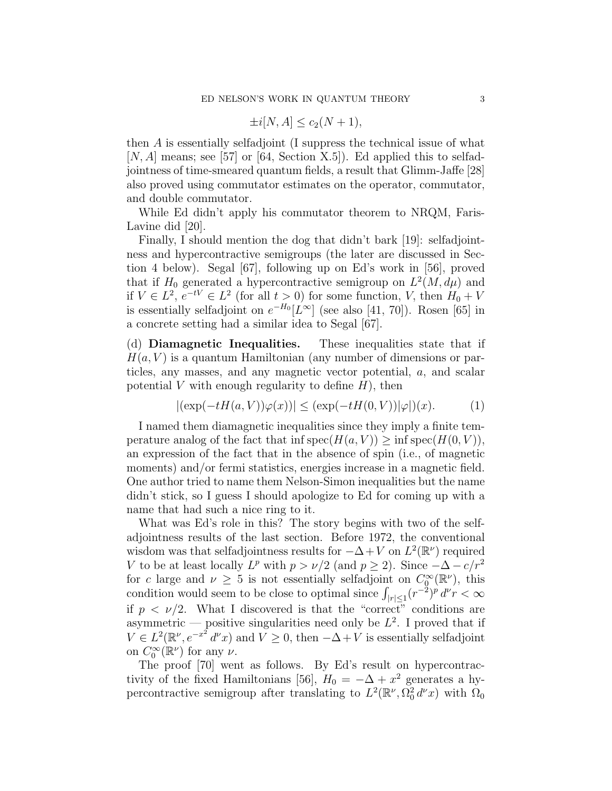$$
\pm i[N, A] \le c_2(N+1),
$$

then A is essentially selfadjoint (I suppress the technical issue of what  $[N, A]$  means; see [57] or [64, Section X.5]). Ed applied this to selfadjointness of time-smeared quantum fields, a result that Glimm-Jaffe [28] also proved using commutator estimates on the operator, commutator, and double commutator.

While Ed didn't apply his commutator theorem to NRQM, Faris-Lavine did [20].

Finally, I should mention the dog that didn't bark [19]: selfadjointness and hypercontractive semigroups (the later are discussed in Section 4 below). Segal [67], following up on Ed's work in [56], proved that if  $H_0$  generated a hypercontractive semigroup on  $L^2(M, d\mu)$  and if  $V \in L^2$ ,  $e^{-tV} \in L^2$  (for all  $t > 0$ ) for some function, V, then  $H_0 + V$ is essentially selfadjoint on  $e^{-H_0}[L^{\infty}]$  (see also [41, 70]). Rosen [65] in a concrete setting had a similar idea to Segal [67].

(d) Diamagnetic Inequalities. These inequalities state that if  $H(a, V)$  is a quantum Hamiltonian (any number of dimensions or particles, any masses, and any magnetic vector potential, a, and scalar potential V with enough regularity to define  $H$ ), then

$$
|(\exp(-tH(a,V))\varphi(x))| \le (\exp(-tH(0,V))|\varphi|)(x). \tag{1}
$$

I named them diamagnetic inequalities since they imply a finite temperature analog of the fact that inf spec( $H(a, V)$ )  $>$  inf spec( $H(0, V)$ ), an expression of the fact that in the absence of spin (i.e., of magnetic moments) and/or fermi statistics, energies increase in a magnetic field. One author tried to name them Nelson-Simon inequalities but the name didn't stick, so I guess I should apologize to Ed for coming up with a name that had such a nice ring to it.

What was Ed's role in this? The story begins with two of the selfadjointness results of the last section. Before 1972, the conventional wisdom was that selfadjointness results for  $-\Delta + V$  on  $L^2(\mathbb{R}^\nu)$  required V to be at least locally  $L^p$  with  $p > \nu/2$  (and  $p \ge 2$ ). Since  $-\Delta - c/r^2$ for c large and  $\nu \geq 5$  is not essentially selfadjoint on  $C_0^{\infty}(\mathbb{R}^{\nu})$ , this for c large and  $\nu \geq 5$  is not essentially selfadjoint on  $C_0^{\infty}(\mathbb{R}^n)$ , this condition would seem to be close to optimal since  $\int_{|r| \leq 1} (r^{-2})^p d^{\nu} r < \infty$ if  $p < \nu/2$ . What I discovered is that the "correct" conditions are asymmetric — positive singularities need only be  $L^2$ . I proved that if  $V \in L^2(\mathbb{R}^{\nu}, e^{-x^2} d^{\nu}x)$  and  $V \geq 0$ , then  $-\Delta + V$  is essentially selfadjoint on  $C_0^{\infty}(\mathbb{R}^{\nu})$  for any  $\nu$ .

The proof [70] went as follows. By Ed's result on hypercontractivity of the fixed Hamiltonians [56],  $H_0 = -\Delta + x^2$  generates a hypercontractive semigroup after translating to  $L^2(\mathbb{R}^{\nu}, \Omega_0^2 d^{\nu}x)$  with  $\Omega_0$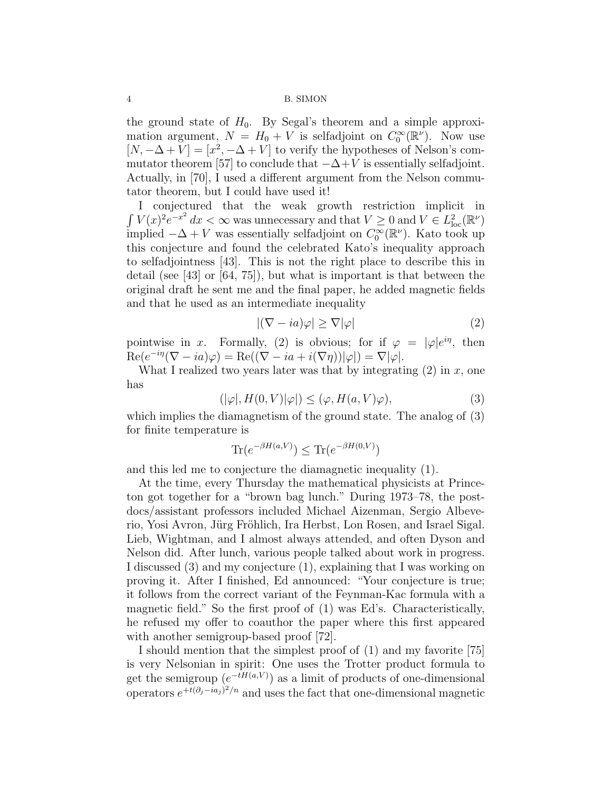the ground state of  $H_0$ . By Segal's theorem and a simple approximation argument,  $N = H_0 + V$  is selfadjoint on  $C_0^{\infty}(\mathbb{R}^{\nu})$ . Now use  $[N, -\Delta + V] = [x^2, -\Delta + V]$  to verify the hypotheses of Nelson's commutator theorem [57] to conclude that  $-\Delta+V$  is essentially selfadjoint. Actually, in [70], I used a different argument from the Nelson commutator theorem, but I could have used it!

I conjectured that the weak growth restriction implicit in R  $V(x)^2 e^{-x^2} dx < \infty$  was unnecessary and that  $V \ge 0$  and  $V \in L^2_{loc}(\mathbb{R}^{\nu})$ implied  $-\Delta + V$  was essentially selfadjoint on  $C_0^{\infty}(\mathbb{R}^{\nu})$ . Kato took up this conjecture and found the celebrated Kato's inequality approach to selfadjointness [43]. This is not the right place to describe this in detail (see [43] or [64, 75]), but what is important is that between the original draft he sent me and the final paper, he added magnetic fields and that he used as an intermediate inequality

$$
|(\nabla - ia)\varphi| \ge \nabla |\varphi| \tag{2}
$$

pointwise in x. Formally, (2) is obvious; for if  $\varphi = |\varphi|e^{i\eta}$ , then  $\operatorname{Re}(e^{-i\eta}(\nabla - ia)\varphi) = \operatorname{Re}((\nabla - ia + i(\nabla \eta))|\varphi|) = \nabla |\varphi|.$ 

What I realized two years later was that by integrating  $(2)$  in x, one has

$$
(|\varphi|, H(0, V)|\varphi|) \le (\varphi, H(a, V)\varphi),\tag{3}
$$

which implies the diamagnetism of the ground state. The analog of (3) for finite temperature is

$$
\text{Tr}(e^{-\beta H(a,V)}) \le \text{Tr}(e^{-\beta H(0,V)})
$$

and this led me to conjecture the diamagnetic inequality (1).

At the time, every Thursday the mathematical physicists at Princeton got together for a "brown bag lunch." During 1973–78, the postdocs/assistant professors included Michael Aizenman, Sergio Albeverio, Yosi Avron, Jürg Fröhlich, Ira Herbst, Lon Rosen, and Israel Sigal. Lieb, Wightman, and I almost always attended, and often Dyson and Nelson did. After lunch, various people talked about work in progress. I discussed (3) and my conjecture (1), explaining that I was working on proving it. After I finished, Ed announced: "Your conjecture is true; it follows from the correct variant of the Feynman-Kac formula with a magnetic field." So the first proof of (1) was Ed's. Characteristically, he refused my offer to coauthor the paper where this first appeared with another semigroup-based proof [72].

I should mention that the simplest proof of (1) and my favorite [75] is very Nelsonian in spirit: One uses the Trotter product formula to get the semigroup  $(e^{-tH(a,V)})$  as a limit of products of one-dimensional operators  $e^{+t(\partial_j - ia_j)^2/n}$  and uses the fact that one-dimensional magnetic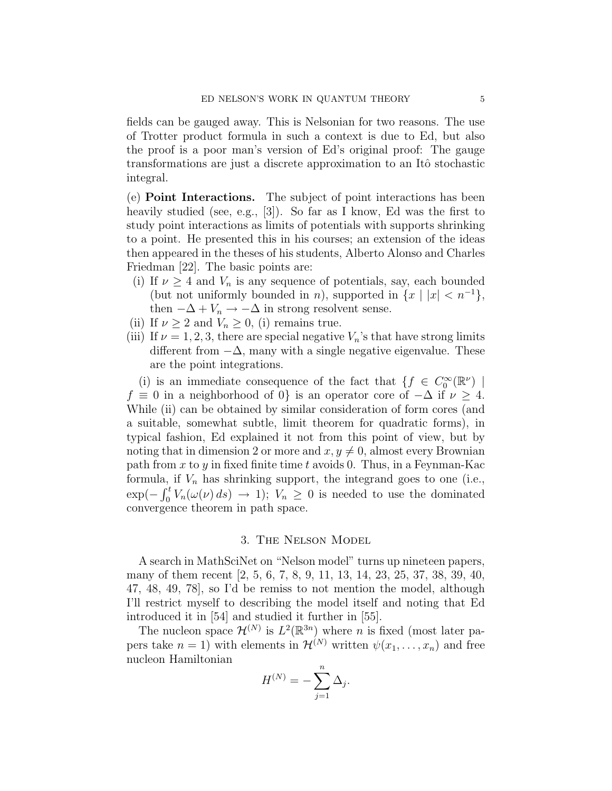fields can be gauged away. This is Nelsonian for two reasons. The use of Trotter product formula in such a context is due to Ed, but also the proof is a poor man's version of Ed's original proof: The gauge transformations are just a discrete approximation to an Itô stochastic integral.

(e) Point Interactions. The subject of point interactions has been heavily studied (see, e.g., [3]). So far as I know, Ed was the first to study point interactions as limits of potentials with supports shrinking to a point. He presented this in his courses; an extension of the ideas then appeared in the theses of his students, Alberto Alonso and Charles Friedman [22]. The basic points are:

- (i) If  $\nu \geq 4$  and  $V_n$  is any sequence of potentials, say, each bounded (but not uniformly bounded in n), supported in  $\{x \mid |x| < n^{-1}\},$ then  $-\Delta + V_n \rightarrow -\Delta$  in strong resolvent sense.
- (ii) If  $\nu \geq 2$  and  $V_n \geq 0$ , (i) remains true.
- (iii) If  $\nu = 1, 2, 3$ , there are special negative  $V_n$ 's that have strong limits different from  $-\Delta$ , many with a single negative eigenvalue. These are the point integrations.

(i) is an immediate consequence of the fact that  $\{f \in C_0^{\infty}(\mathbb{R}^{\nu})\}$  $f \equiv 0$  in a neighborhood of 0} is an operator core of  $-\Delta$  if  $\nu \geq 4$ .

While (ii) can be obtained by similar consideration of form cores (and a suitable, somewhat subtle, limit theorem for quadratic forms), in typical fashion, Ed explained it not from this point of view, but by noting that in dimension 2 or more and  $x, y \neq 0$ , almost every Brownian path from x to y in fixed finite time t avoids 0. Thus, in a Feynman-Kac formula, if  $V_n$  has shrinking support, the integrand goes to one (i.e.,  $\exp(-\int_0^t V_n(\omega(\nu) ds) \to 1); V_n \geq 0$  is needed to use the dominated convergence theorem in path space.

# 3. The Nelson Model

A search in MathSciNet on "Nelson model" turns up nineteen papers, many of them recent [2, 5, 6, 7, 8, 9, 11, 13, 14, 23, 25, 37, 38, 39, 40, 47, 48, 49, 78], so I'd be remiss to not mention the model, although I'll restrict myself to describing the model itself and noting that Ed introduced it in [54] and studied it further in [55].

The nucleon space  $\mathcal{H}^{(N)}$  is  $L^2(\mathbb{R}^{3n})$  where n is fixed (most later papers take  $n = 1$ ) with elements in  $\mathcal{H}^{(N)}$  written  $\psi(x_1, \ldots, x_n)$  and free nucleon Hamiltonian

$$
H^{(N)} = -\sum_{j=1}^{n} \Delta_j.
$$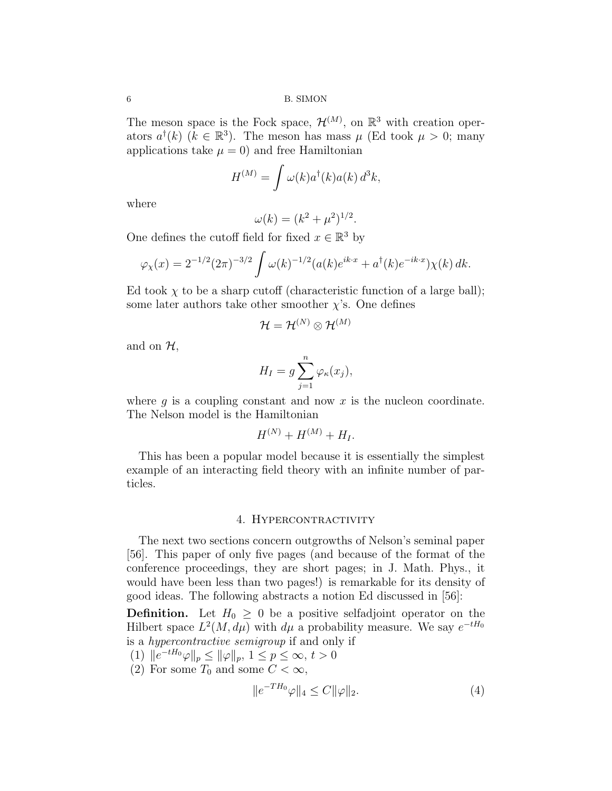The meson space is the Fock space,  $\mathcal{H}^{(M)}$ , on  $\mathbb{R}^3$  with creation operators  $a^{\dagger}(k)$  ( $k \in \mathbb{R}^3$ ). The meson has mass  $\mu$  (Ed took  $\mu > 0$ ; many applications take  $\mu = 0$ ) and free Hamiltonian

$$
H^{(M)} = \int \omega(k) a^{\dagger}(k) a(k) d^3k,
$$

where

$$
\omega(k) = (k^2 + \mu^2)^{1/2}.
$$

One defines the cutoff field for fixed  $x \in \mathbb{R}^3$  by

$$
\varphi_{\chi}(x) = 2^{-1/2} (2\pi)^{-3/2} \int \omega(k)^{-1/2} (a(k)e^{ik \cdot x} + a^{\dagger}(k)e^{-ik \cdot x}) \chi(k) dk.
$$

Ed took  $\chi$  to be a sharp cutoff (characteristic function of a large ball); some later authors take other smoother  $\chi$ 's. One defines

$$
\mathcal{H}=\mathcal{H}^{(N)}\otimes\mathcal{H}^{(M)}
$$

and on  $\mathcal{H}$ ,

$$
H_I = g \sum_{j=1}^n \varphi_\kappa(x_j),
$$

where  $q$  is a coupling constant and now  $x$  is the nucleon coordinate. The Nelson model is the Hamiltonian

$$
H^{(N)} + H^{(M)} + H_I.
$$

This has been a popular model because it is essentially the simplest example of an interacting field theory with an infinite number of particles.

## 4. Hypercontractivity

The next two sections concern outgrowths of Nelson's seminal paper [56]. This paper of only five pages (and because of the format of the conference proceedings, they are short pages; in J. Math. Phys., it would have been less than two pages!) is remarkable for its density of good ideas. The following abstracts a notion Ed discussed in [56]:

**Definition.** Let  $H_0 \geq 0$  be a positive selfadjoint operator on the Hilbert space  $L^2(M, d\mu)$  with  $d\mu$  a probability measure. We say  $e^{-tH_0}$ is a hypercontractive semigroup if and only if

(1)  $||e^{-tH_0}\varphi||_p \le ||\varphi||_p, \ 1 \le p \le \infty, \ t > 0$ 

(2) For some  $T_0$  and some  $C < \infty$ ,

$$
||e^{-TH_0}\varphi||_4 \le C ||\varphi||_2.
$$
 (4)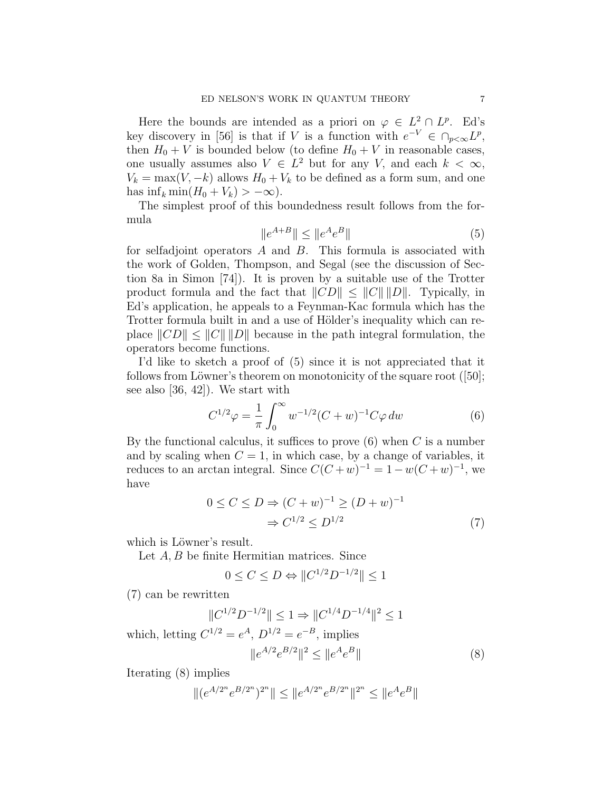Here the bounds are intended as a priori on  $\varphi \in L^2 \cap L^p$ . Ed's key discovery in [56] is that if V is a function with  $e^{-V} \in \bigcap_{p<\infty} L^p$ , then  $H_0 + V$  is bounded below (to define  $H_0 + V$  in reasonable cases, one usually assumes also  $V \in L^2$  but for any V, and each  $k < \infty$ ,  $V_k = \max(V, -k)$  allows  $H_0 + V_k$  to be defined as a form sum, and one has  $\inf_k \min(H_0 + V_k) > -\infty$ .

The simplest proof of this boundedness result follows from the formula

$$
||e^{A+B}|| \le ||e^A e^B|| \tag{5}
$$

for selfadjoint operators A and B. This formula is associated with the work of Golden, Thompson, and Segal (see the discussion of Section 8a in Simon [74]). It is proven by a suitable use of the Trotter product formula and the fact that  $||CD|| \leq ||C|| ||D||$ . Typically, in Ed's application, he appeals to a Feynman-Kac formula which has the Trotter formula built in and a use of Hölder's inequality which can replace  $||CD|| \le ||C|| ||D||$  because in the path integral formulation, the operators become functions.

I'd like to sketch a proof of (5) since it is not appreciated that it follows from Löwner's theorem on monotonicity of the square root  $([50];$ see also [36, 42]). We start with

$$
C^{1/2}\varphi = \frac{1}{\pi} \int_0^\infty w^{-1/2} (C+w)^{-1} C\varphi dw \tag{6}
$$

By the functional calculus, it suffices to prove  $(6)$  when C is a number and by scaling when  $C = 1$ , in which case, by a change of variables, it reduces to an arctan integral. Since  $C(C+w)^{-1} = 1 - w(C+w)^{-1}$ , we have

$$
0 \le C \le D \Rightarrow (C + w)^{-1} \ge (D + w)^{-1}
$$
  

$$
\Rightarrow C^{1/2} \le D^{1/2}
$$
 (7)

which is Löwner's result.

Let  $A, B$  be finite Hermitian matrices. Since

$$
0 \le C \le D \Leftrightarrow \|C^{1/2}D^{-1/2}\| \le 1
$$

(7) can be rewritten

$$
||C^{1/2}D^{-1/2}|| \le 1 \Rightarrow ||C^{1/4}D^{-1/4}||^2 \le 1
$$
  
which, letting  $C^{1/2} = e^A$ ,  $D^{1/2} = e^{-B}$ , implies  

$$
||e^{A/2}e^{B/2}||^2 \le ||e^A e^B||
$$
(8)

Iterating (8) implies

$$
\|(e^{A/2^n}e^{B/2^n})^{2^n}\| \leq \|e^{A/2^n}e^{B/2^n}\|^{2^n} \leq \|e^Ae^B\|
$$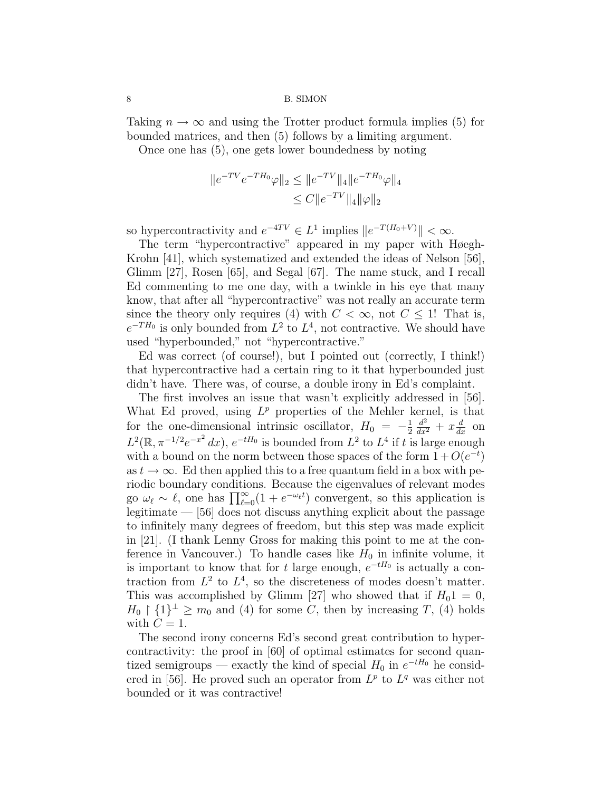Taking  $n \to \infty$  and using the Trotter product formula implies (5) for bounded matrices, and then (5) follows by a limiting argument.

Once one has (5), one gets lower boundedness by noting

$$
||e^{-TV}e^{-TH_0}\varphi||_2 \le ||e^{-TV}||_4 ||e^{-TH_0}\varphi||_4
$$
  

$$
\le C ||e^{-TV}||_4 ||\varphi||_2
$$

so hypercontractivity and  $e^{-4TV} \in L^1$  implies  $||e^{-T(H_0+V)}|| < \infty$ .

The term "hypercontractive" appeared in my paper with Høegh-Krohn [41], which systematized and extended the ideas of Nelson [56], Glimm [27], Rosen [65], and Segal [67]. The name stuck, and I recall Ed commenting to me one day, with a twinkle in his eye that many know, that after all "hypercontractive" was not really an accurate term since the theory only requires (4) with  $C < \infty$ , not  $C \leq 1!$  That is,  $e^{-TH_0}$  is only bounded from  $L^2$  to  $L^4$ , not contractive. We should have used "hyperbounded," not "hypercontractive."

Ed was correct (of course!), but I pointed out (correctly, I think!) that hypercontractive had a certain ring to it that hyperbounded just didn't have. There was, of course, a double irony in Ed's complaint.

The first involves an issue that wasn't explicitly addressed in [56]. What Ed proved, using  $L^p$  properties of the Mehler kernel, is that for the one-dimensional intrinsic oscillator,  $H_0 = -\frac{1}{2}$ 2  $\frac{d^2}{dx^2} + x\frac{d}{dx}$  on  $L^2(\mathbb{R}, \pi^{-1/2}e^{-x^2} dx)$ ,  $e^{-tH_0}$  is bounded from  $L^2$  to  $L^4$  if t is large enough with a bound on the norm between those spaces of the form  $1 + O(e^{-t})$ as  $t \to \infty$ . Ed then applied this to a free quantum field in a box with periodic boundary conditions. Because the eigenvalues of relevant modes Froare boundary conditions. Because the eigenvalues of relevant modes<br>go  $\omega_{\ell} \sim \ell$ , one has  $\prod_{\ell=0}^{\infty} (1 + e^{-\omega_{\ell}t})$  convergent, so this application is legitimate  $-$  [56] does not discuss anything explicit about the passage to infinitely many degrees of freedom, but this step was made explicit in [21]. (I thank Lenny Gross for making this point to me at the conference in Vancouver.) To handle cases like  $H_0$  in infinite volume, it is important to know that for t large enough,  $e^{-tH_0}$  is actually a contraction from  $L^2$  to  $L^4$ , so the discreteness of modes doesn't matter. This was accomplished by Glimm [27] who showed that if  $H_01 = 0$ ,  $H_0 \restriction \{1\}^{\perp} \geq m_0$  and (4) for some C, then by increasing T, (4) holds with  $C = 1$ .

The second irony concerns Ed's second great contribution to hypercontractivity: the proof in [60] of optimal estimates for second quantized semigroups — exactly the kind of special  $H_0$  in  $e^{-tH_0}$  he considered in [56]. He proved such an operator from  $L^p$  to  $L^q$  was either not bounded or it was contractive!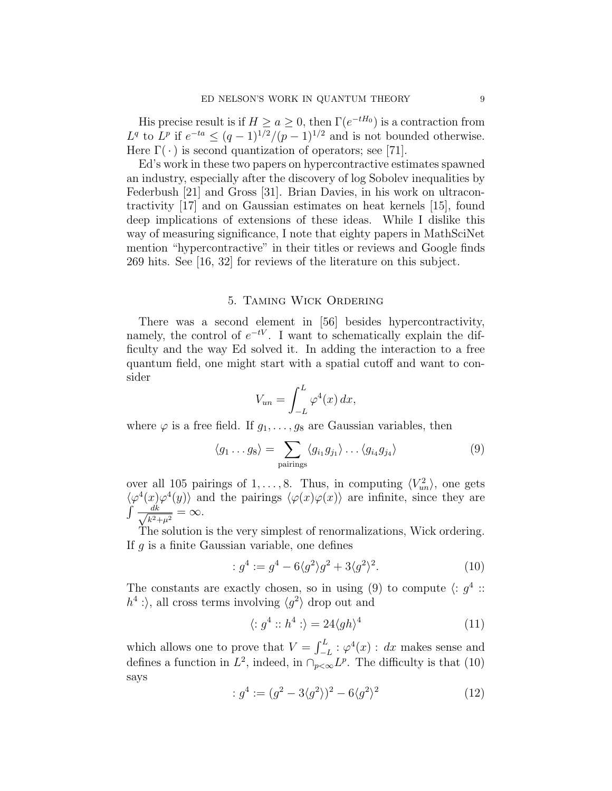His precise result is if  $H \ge a \ge 0$ , then  $\Gamma(e^{-tH_0})$  is a contraction from  $L^q$  to  $L^p$  if  $e^{-ta} \leq (q-1)^{1/2}/(p-1)^{1/2}$  and is not bounded otherwise. Here  $\Gamma(\cdot)$  is second quantization of operators; see [71].

Ed's work in these two papers on hypercontractive estimates spawned an industry, especially after the discovery of log Sobolev inequalities by Federbush [21] and Gross [31]. Brian Davies, in his work on ultracontractivity [17] and on Gaussian estimates on heat kernels [15], found deep implications of extensions of these ideas. While I dislike this way of measuring significance, I note that eighty papers in MathSciNet mention "hypercontractive" in their titles or reviews and Google finds 269 hits. See [16, 32] for reviews of the literature on this subject.

## 5. Taming Wick Ordering

There was a second element in [56] besides hypercontractivity, namely, the control of  $e^{-tV}$ . I want to schematically explain the difficulty and the way Ed solved it. In adding the interaction to a free quantum field, one might start with a spatial cutoff and want to consider

$$
V_{un} = \int_{-L}^{L} \varphi^4(x) \, dx,
$$

where  $\varphi$  is a free field. If  $g_1, \ldots, g_8$  are Gaussian variables, then

$$
\langle g_1 \dots g_8 \rangle = \sum_{\text{pairings}} \langle g_{i_1} g_{j_1} \rangle \dots \langle g_{i_4} g_{j_4} \rangle \tag{9}
$$

over all 105 pairings of 1, ..., 8. Thus, in computing  $\langle V_{un}^2 \rangle$ , one gets  $\langle \varphi^4(x) \varphi^4(y) \rangle$  and the pairings  $\langle \varphi(x) \varphi(x) \rangle$  are infinite, since they are  $\frac{dk}{\sqrt{dk}}$  $\frac{dk}{k^2+\mu^2}=\infty.$ 

The solution is the very simplest of renormalizations, Wick ordering. If  $q$  is a finite Gaussian variable, one defines

$$
g^4 := g^4 - 6\langle g^2 \rangle g^2 + 3\langle g^2 \rangle^2. \tag{10}
$$

The constants are exactly chosen, so in using (9) to compute  $\langle : g^4 : : \rangle$  $h^4$  :), all cross terms involving  $\langle g^2 \rangle$  drop out and

$$
\langle :g^4::h^4: \rangle = 24 \langle gh \rangle^4 \tag{11}
$$

which allows one to prove that  $V = \int_{-}^{L}$  $\sum_{-L}^{L}$ :  $\varphi^4(x)$  : dx makes sense and defines a function in  $L^2$ , indeed, in  $\bigcap_{p<\infty}L^p$ . The difficulty is that (10) says

$$
g^{4} := (g^{2} - 3\langle g^{2} \rangle)^{2} - 6\langle g^{2} \rangle^{2}
$$
 (12)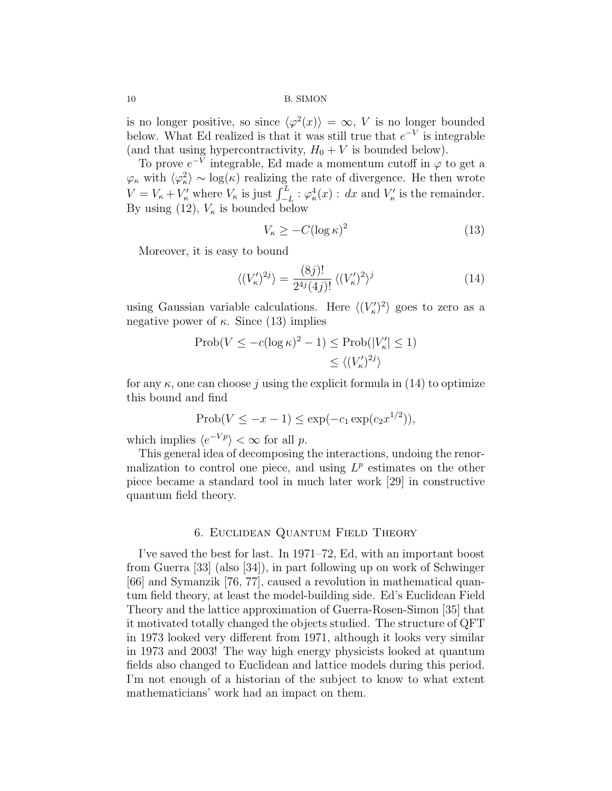is no longer positive, so since  $\langle \varphi^2(x) \rangle = \infty$ , V is no longer bounded below. What Ed realized is that it was still true that  $e^{-V}$  is integrable (and that using hypercontractivity,  $H_0 + V$  is bounded below).

To prove  $e^{-V}$  integrable, Ed made a momentum cutoff in  $\varphi$  to get a  $\varphi_{\kappa}$  with  $\langle \varphi_{\kappa}^2 \rangle \sim \log(\kappa)$  realizing the rate of divergence. He then wrote  $V = V_{\kappa} + V_{\kappa}'$  where  $V_{\kappa}$  is just  $\int_{-L}^{L} : \varphi_{\kappa}^4(x) : dx$  and  $V_{\kappa}'$  is the remainder. By using (12),  $V_{\kappa}$  is bounded below

$$
V_{\kappa} \ge -C(\log \kappa)^2 \tag{13}
$$

Moreover, it is easy to bound

$$
\langle (V'_{\kappa})^{2j} \rangle = \frac{(8j)!}{2^{4j}(4j)!} \langle (V'_{\kappa})^2 \rangle^j \tag{14}
$$

using Gaussian variable calculations. Here  $\langle (V'_\kappa)^2 \rangle$  goes to zero as a negative power of  $\kappa$ . Since (13) implies

$$
\text{Prob}(V \le -c(\log \kappa)^2 - 1) \le \text{Prob}(|V'_{\kappa}| \le 1)
$$
  

$$
\le \langle (V'_{\kappa})^{2j} \rangle
$$

for any  $\kappa$ , one can choose j using the explicit formula in (14) to optimize this bound and find

$$
Prob(V \le -x - 1) \le \exp(-c_1 \exp(c_2 x^{1/2})),
$$

which implies  $\langle e^{-Vp} \rangle < \infty$  for all p.

This general idea of decomposing the interactions, undoing the renormalization to control one piece, and using  $L^p$  estimates on the other piece became a standard tool in much later work [29] in constructive quantum field theory.

# 6. Euclidean Quantum Field Theory

I've saved the best for last. In 1971–72, Ed, with an important boost from Guerra [33] (also [34]), in part following up on work of Schwinger [66] and Symanzik [76, 77], caused a revolution in mathematical quantum field theory, at least the model-building side. Ed's Euclidean Field Theory and the lattice approximation of Guerra-Rosen-Simon [35] that it motivated totally changed the objects studied. The structure of QFT in 1973 looked very different from 1971, although it looks very similar in 1973 and 2003! The way high energy physicists looked at quantum fields also changed to Euclidean and lattice models during this period. I'm not enough of a historian of the subject to know to what extent mathematicians' work had an impact on them.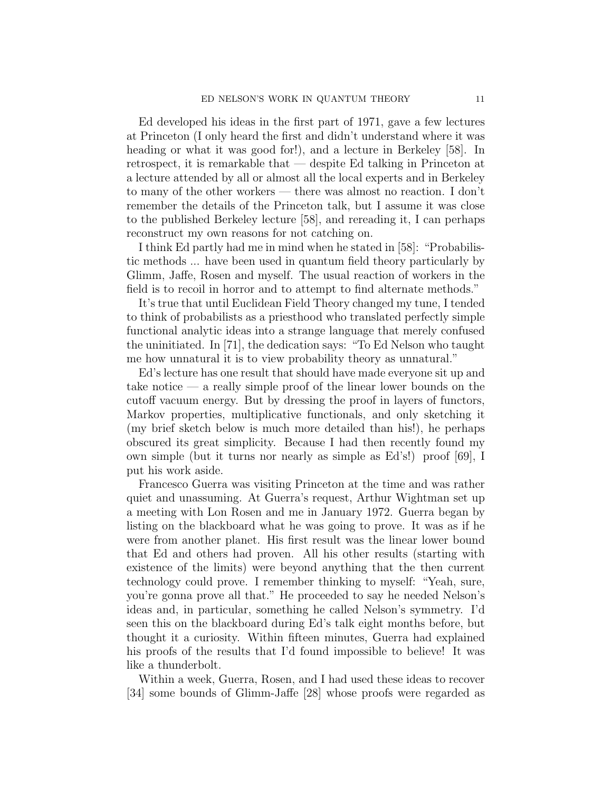Ed developed his ideas in the first part of 1971, gave a few lectures at Princeton (I only heard the first and didn't understand where it was heading or what it was good for!), and a lecture in Berkeley [58]. In retrospect, it is remarkable that — despite Ed talking in Princeton at a lecture attended by all or almost all the local experts and in Berkeley to many of the other workers — there was almost no reaction. I don't remember the details of the Princeton talk, but I assume it was close to the published Berkeley lecture [58], and rereading it, I can perhaps reconstruct my own reasons for not catching on.

I think Ed partly had me in mind when he stated in [58]: "Probabilistic methods ... have been used in quantum field theory particularly by Glimm, Jaffe, Rosen and myself. The usual reaction of workers in the field is to recoil in horror and to attempt to find alternate methods."

It's true that until Euclidean Field Theory changed my tune, I tended to think of probabilists as a priesthood who translated perfectly simple functional analytic ideas into a strange language that merely confused the uninitiated. In [71], the dedication says: "To Ed Nelson who taught me how unnatural it is to view probability theory as unnatural."

Ed's lecture has one result that should have made everyone sit up and take notice — a really simple proof of the linear lower bounds on the cutoff vacuum energy. But by dressing the proof in layers of functors, Markov properties, multiplicative functionals, and only sketching it (my brief sketch below is much more detailed than his!), he perhaps obscured its great simplicity. Because I had then recently found my own simple (but it turns nor nearly as simple as Ed's!) proof [69], I put his work aside.

Francesco Guerra was visiting Princeton at the time and was rather quiet and unassuming. At Guerra's request, Arthur Wightman set up a meeting with Lon Rosen and me in January 1972. Guerra began by listing on the blackboard what he was going to prove. It was as if he were from another planet. His first result was the linear lower bound that Ed and others had proven. All his other results (starting with existence of the limits) were beyond anything that the then current technology could prove. I remember thinking to myself: "Yeah, sure, you're gonna prove all that." He proceeded to say he needed Nelson's ideas and, in particular, something he called Nelson's symmetry. I'd seen this on the blackboard during Ed's talk eight months before, but thought it a curiosity. Within fifteen minutes, Guerra had explained his proofs of the results that I'd found impossible to believe! It was like a thunderbolt.

Within a week, Guerra, Rosen, and I had used these ideas to recover [34] some bounds of Glimm-Jaffe [28] whose proofs were regarded as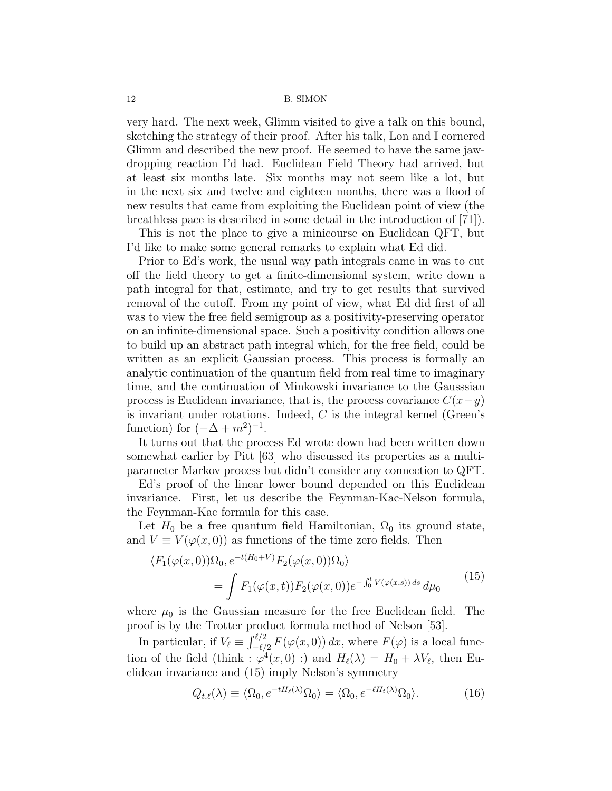very hard. The next week, Glimm visited to give a talk on this bound, sketching the strategy of their proof. After his talk, Lon and I cornered Glimm and described the new proof. He seemed to have the same jawdropping reaction I'd had. Euclidean Field Theory had arrived, but at least six months late. Six months may not seem like a lot, but in the next six and twelve and eighteen months, there was a flood of new results that came from exploiting the Euclidean point of view (the breathless pace is described in some detail in the introduction of [71]).

This is not the place to give a minicourse on Euclidean QFT, but I'd like to make some general remarks to explain what Ed did.

Prior to Ed's work, the usual way path integrals came in was to cut off the field theory to get a finite-dimensional system, write down a path integral for that, estimate, and try to get results that survived removal of the cutoff. From my point of view, what Ed did first of all was to view the free field semigroup as a positivity-preserving operator on an infinite-dimensional space. Such a positivity condition allows one to build up an abstract path integral which, for the free field, could be written as an explicit Gaussian process. This process is formally an analytic continuation of the quantum field from real time to imaginary time, and the continuation of Minkowski invariance to the Gausssian process is Euclidean invariance, that is, the process covariance  $C(x-y)$ is invariant under rotations. Indeed,  $C$  is the integral kernel (Green's function) for  $(-\Delta + m^2)^{-1}$ .

It turns out that the process Ed wrote down had been written down somewhat earlier by Pitt [63] who discussed its properties as a multiparameter Markov process but didn't consider any connection to QFT.

Ed's proof of the linear lower bound depended on this Euclidean invariance. First, let us describe the Feynman-Kac-Nelson formula, the Feynman-Kac formula for this case.

Let  $H_0$  be a free quantum field Hamiltonian,  $\Omega_0$  its ground state, and  $V \equiv V(\varphi(x,0))$  as functions of the time zero fields. Then

$$
\langle F_1(\varphi(x,0))\Omega_0, e^{-t(H_0+V)}F_2(\varphi(x,0))\Omega_0\rangle
$$
  
= 
$$
\int F_1(\varphi(x,t))F_2(\varphi(x,0))e^{-\int_0^t V(\varphi(x,s))ds}d\mu_0
$$
 (15)

where  $\mu_0$  is the Gaussian measure for the free Euclidean field. The proof is by the Trotter product formula method of Nelson [53].  $P^{LOC}_{\rm r\ell/2}$ 

In particular, if  $V_\ell \equiv$  $\frac{\partial^2 U}{\partial \rho^2} F(\varphi(x,0)) dx$ , where  $F(\varphi)$  is a local function of the field (think :  $\varphi^4(x,0)$  :) and  $H_\ell(\lambda) = H_0 + \lambda V_\ell$ , then Euclidean invariance and (15) imply Nelson's symmetry

$$
Q_{t,\ell}(\lambda) \equiv \langle \Omega_0, e^{-tH_{\ell}(\lambda)} \Omega_0 \rangle = \langle \Omega_0, e^{-\ell H_t(\lambda)} \Omega_0 \rangle.
$$
 (16)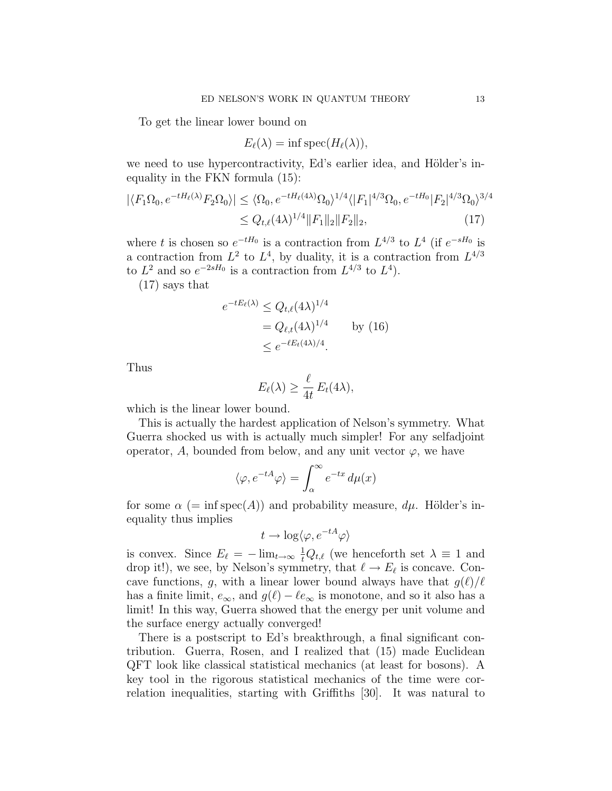To get the linear lower bound on

$$
E_{\ell}(\lambda) = \inf \mathrm{spec}(H_{\ell}(\lambda)),
$$

we need to use hypercontractivity, Ed's earlier idea, and Hölder's inequality in the FKN formula (15):

$$
|\langle F_1 \Omega_0, e^{-tH_\ell(\lambda)} F_2 \Omega_0 \rangle| \leq \langle \Omega_0, e^{-tH_\ell(4\lambda)} \Omega_0 \rangle^{1/4} \langle |F_1|^{4/3} \Omega_0, e^{-tH_0} |F_2|^{4/3} \Omega_0 \rangle^{3/4}
$$
  

$$
\leq Q_{t,\ell}(4\lambda)^{1/4} ||F_1||_2 ||F_2||_2, \tag{17}
$$

where t is chosen so  $e^{-tH_0}$  is a contraction from  $L^{4/3}$  to  $L^4$  (if  $e^{-sH_0}$  is a contraction from  $L^2$  to  $L^4$ , by duality, it is a contraction from  $L^{4/3}$ to  $L^2$  and so  $e^{-2sH_0}$  is a contraction from  $L^{4/3}$  to  $L^4$ ).

(17) says that

$$
e^{-tE_{\ell}(\lambda)} \le Q_{t,\ell}(4\lambda)^{1/4}
$$
  
=  $Q_{\ell,t}(4\lambda)^{1/4}$  by (16)  
 $\le e^{-\ell E_t(4\lambda)/4}.$ 

Thus

$$
E_{\ell}(\lambda) \geq \frac{\ell}{4t} E_t(4\lambda),
$$

which is the linear lower bound.

This is actually the hardest application of Nelson's symmetry. What Guerra shocked us with is actually much simpler! For any selfadjoint operator, A, bounded from below, and any unit vector  $\varphi$ , we have

$$
\langle \varphi, e^{-tA} \varphi \rangle = \int_{\alpha}^{\infty} e^{-tx} d\mu(x)
$$

for some  $\alpha$  (= inf spec(A)) and probability measure,  $d\mu$ . Hölder's inequality thus implies

$$
t \to \log \langle \varphi, e^{-tA} \varphi \rangle
$$

is convex. Since  $E_\ell = -\lim_{t\to\infty} \frac{1}{t}Q_{t,\ell}$  (we henceforth set  $\lambda \equiv 1$  and drop it!), we see, by Nelson's symmetry, that  $\ell \to E_{\ell}$  is concave. Concave functions, g, with a linear lower bound always have that  $g(\ell)/\ell$ has a finite limit,  $e_{\infty}$ , and  $g(\ell) - \ell e_{\infty}$  is monotone, and so it also has a limit! In this way, Guerra showed that the energy per unit volume and the surface energy actually converged!

There is a postscript to Ed's breakthrough, a final significant contribution. Guerra, Rosen, and I realized that (15) made Euclidean QFT look like classical statistical mechanics (at least for bosons). A key tool in the rigorous statistical mechanics of the time were correlation inequalities, starting with Griffiths [30]. It was natural to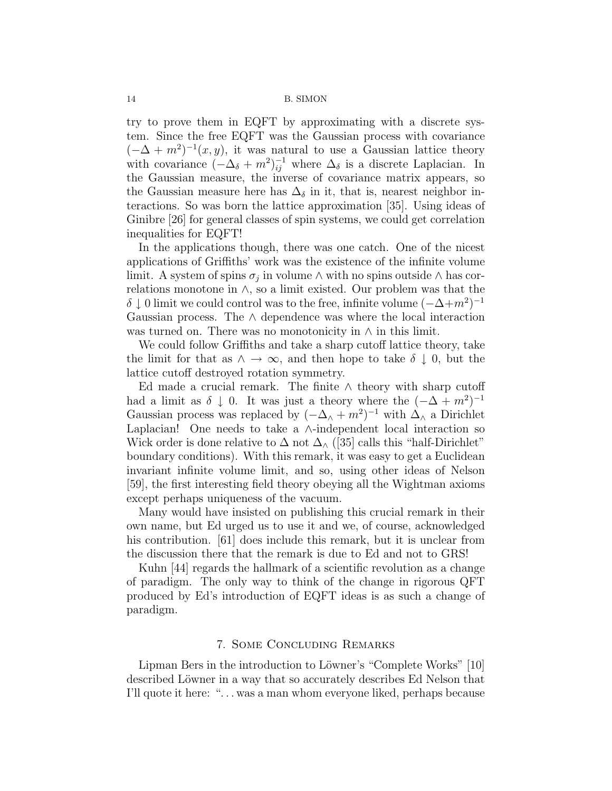try to prove them in EQFT by approximating with a discrete system. Since the free EQFT was the Gaussian process with covariance  $(-\Delta + m^2)^{-1}(x, y)$ , it was natural to use a Gaussian lattice theory with covariance  $(-\Delta_{\delta} + m^2)_{ij}^{-1}$  where  $\Delta_{\delta}$  is a discrete Laplacian. In the Gaussian measure, the inverse of covariance matrix appears, so the Gaussian measure here has  $\Delta_{\delta}$  in it, that is, nearest neighbor interactions. So was born the lattice approximation [35]. Using ideas of Ginibre [26] for general classes of spin systems, we could get correlation inequalities for EQFT!

In the applications though, there was one catch. One of the nicest applications of Griffiths' work was the existence of the infinite volume limit. A system of spins  $\sigma_j$  in volume  $\wedge$  with no spins outside  $\wedge$  has correlations monotone in  $\wedge,$  so a limit existed. Our problem was that the  $\delta \downarrow 0$  limit we could control was to the free, infinite volume  $(-\Delta+m^2)^{-1}$ Gaussian process. The ∧ dependence was where the local interaction was turned on. There was no monotonicity in  $\wedge$  in this limit.

We could follow Griffiths and take a sharp cutoff lattice theory, take the limit for that as  $\land \rightarrow \infty$ , and then hope to take  $\delta \downarrow 0$ , but the lattice cutoff destroyed rotation symmetry.

Ed made a crucial remark. The finite ∧ theory with sharp cutoff had a limit as  $\delta \downarrow 0$ . It was just a theory where the  $(-\Delta + m^2)^{-1}$ Gaussian process was replaced by  $(-\Delta_{\wedge} + m^2)^{-1}$  with  $\Delta_{\wedge}$  a Dirichlet Laplacian! One needs to take a ∧-independent local interaction so Wick order is done relative to  $\Delta$  not  $\Delta_{\wedge}$  ([35] calls this "half-Dirichlet" boundary conditions). With this remark, it was easy to get a Euclidean invariant infinite volume limit, and so, using other ideas of Nelson [59], the first interesting field theory obeying all the Wightman axioms except perhaps uniqueness of the vacuum.

Many would have insisted on publishing this crucial remark in their own name, but Ed urged us to use it and we, of course, acknowledged his contribution. [61] does include this remark, but it is unclear from the discussion there that the remark is due to Ed and not to GRS!

Kuhn [44] regards the hallmark of a scientific revolution as a change of paradigm. The only way to think of the change in rigorous QFT produced by Ed's introduction of EQFT ideas is as such a change of paradigm.

# 7. Some Concluding Remarks

Lipman Bers in the introduction to Löwner's "Complete Works" [10] described Löwner in a way that so accurately describes Ed Nelson that I'll quote it here: ". . . was a man whom everyone liked, perhaps because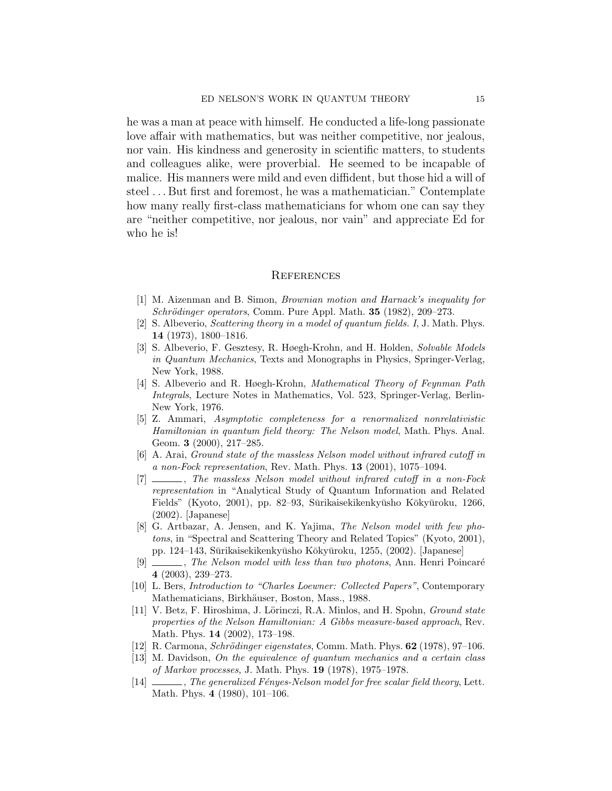he was a man at peace with himself. He conducted a life-long passionate love affair with mathematics, but was neither competitive, nor jealous, nor vain. His kindness and generosity in scientific matters, to students and colleagues alike, were proverbial. He seemed to be incapable of malice. His manners were mild and even diffident, but those hid a will of steel . . . But first and foremost, he was a mathematician." Contemplate how many really first-class mathematicians for whom one can say they are "neither competitive, nor jealous, nor vain" and appreciate Ed for who he is!

### **REFERENCES**

- [1] M. Aizenman and B. Simon, Brownian motion and Harnack's inequality for Schrödinger operators, Comm. Pure Appl. Math. 35 (1982), 209-273.
- [2] S. Albeverio, Scattering theory in a model of quantum fields. I, J. Math. Phys. 14 (1973), 1800–1816.
- [3] S. Albeverio, F. Gesztesy, R. Høegh-Krohn, and H. Holden, Solvable Models in Quantum Mechanics, Texts and Monographs in Physics, Springer-Verlag, New York, 1988.
- [4] S. Albeverio and R. Høegh-Krohn, Mathematical Theory of Feynman Path Integrals, Lecture Notes in Mathematics, Vol. 523, Springer-Verlag, Berlin-New York, 1976.
- [5] Z. Ammari, Asymptotic completeness for a renormalized nonrelativistic Hamiltonian in quantum field theory: The Nelson model, Math. Phys. Anal. Geom. **3** (2000), 217-285.
- [6] A. Arai, Ground state of the massless Nelson model without infrared cutoff in a non-Fock representation, Rev. Math. Phys. 13 (2001), 1075–1094.
- [7] , The massless Nelson model without infrared cutoff in a non-Fock representation in "Analytical Study of Quantum Information and Related Fields" (Kyoto, 2001), pp. 82–93, Sūrikaisekikenkyūsho Kōkyūroku, 1266, (2002). [Japanese]
- [8] G. Artbazar, A. Jensen, and K. Yajima, The Nelson model with few photons, in "Spectral and Scattering Theory and Related Topics" (Kyoto, 2001), pp. 124–143, Sūrikaisekikenkyūsho Kōkyūroku, 1255, (2002). [Japanese]
- [9] \_\_\_\_, The Nelson model with less than two photons, Ann. Henri Poincaré 4 (2003), 239–273.
- [10] L. Bers, Introduction to "Charles Loewner: Collected Papers", Contemporary Mathematicians, Birkhäuser, Boston, Mass., 1988.
- [11] V. Betz, F. Hiroshima, J. Lörinczi, R.A. Minlos, and H. Spohn, *Ground state* properties of the Nelson Hamiltonian: A Gibbs measure-based approach, Rev. Math. Phys. 14 (2002), 173–198.
- [12] R. Carmona, *Schrödinger eigenstates*, Comm. Math. Phys. **62** (1978), 97–106.
- [13] M. Davidson, On the equivalence of quantum mechanics and a certain class of Markov processes, J. Math. Phys. 19 (1978), 1975–1978.
- $[14]$  , The generalized Fényes-Nelson model for free scalar field theory, Lett. Math. Phys. 4 (1980), 101–106.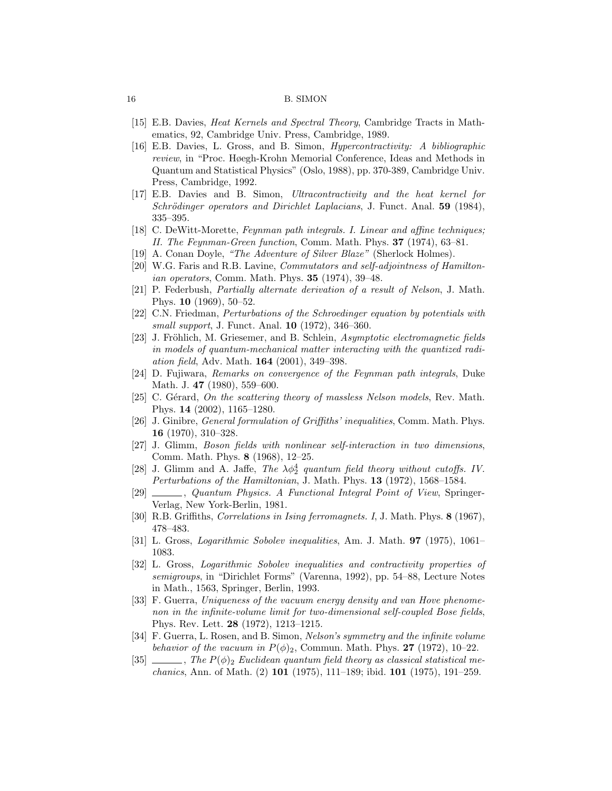- [15] E.B. Davies, Heat Kernels and Spectral Theory, Cambridge Tracts in Mathematics, 92, Cambridge Univ. Press, Cambridge, 1989.
- [16] E.B. Davies, L. Gross, and B. Simon, Hypercontractivity: A bibliographic review, in "Proc. Høegh-Krohn Memorial Conference, Ideas and Methods in Quantum and Statistical Physics" (Oslo, 1988), pp. 370-389, Cambridge Univ. Press, Cambridge, 1992.
- [17] E.B. Davies and B. Simon, Ultracontractivity and the heat kernel for Schrödinger operators and Dirichlet Laplacians, J. Funct. Anal. 59 (1984), 335–395.
- [18] C. DeWitt-Morette, Feynman path integrals. I. Linear and affine techniques; II. The Feynman-Green function, Comm. Math. Phys. 37 (1974), 63–81.
- [19] A. Conan Doyle, "The Adventure of Silver Blaze" (Sherlock Holmes).
- [20] W.G. Faris and R.B. Lavine, Commutators and self-adjointness of Hamiltonian operators, Comm. Math. Phys. 35 (1974), 39–48.
- [21] P. Federbush, Partially alternate derivation of a result of Nelson, J. Math. Phys. 10 (1969), 50–52.
- [22] C.N. Friedman, Perturbations of the Schroedinger equation by potentials with small support, J. Funct. Anal. 10 (1972), 346–360.
- [23] J. Fröhlich, M. Griesemer, and B. Schlein, *Asymptotic electromagnetic fields* in models of quantum-mechanical matter interacting with the quantized radiation field, Adv. Math. **164** (2001), 349-398.
- [24] D. Fujiwara, Remarks on convergence of the Feynman path integrals, Duke Math. J. 47 (1980), 559–600.
- [25] C. Gérard, On the scattering theory of massless Nelson models, Rev. Math. Phys. 14 (2002), 1165–1280.
- [26] J. Ginibre, General formulation of Griffiths' inequalities, Comm. Math. Phys. 16 (1970), 310–328.
- [27] J. Glimm, Boson fields with nonlinear self-interaction in two dimensions, Comm. Math. Phys. 8 (1968), 12–25.
- [28] J. Glimm and A. Jaffe, The  $\lambda \phi_2^4$  quantum field theory without cutoffs. IV. Perturbations of the Hamiltonian, J. Math. Phys. 13 (1972), 1568–1584.
- [29] , Quantum Physics. A Functional Integral Point of View, Springer-Verlag, New York-Berlin, 1981.
- [30] R.B. Griffiths, Correlations in Ising ferromagnets. I, J. Math. Phys. 8 (1967), 478–483.
- [31] L. Gross, Logarithmic Sobolev inequalities, Am. J. Math. 97 (1975), 1061– 1083.
- [32] L. Gross, Logarithmic Sobolev inequalities and contractivity properties of semigroups, in "Dirichlet Forms" (Varenna, 1992), pp. 54–88, Lecture Notes in Math., 1563, Springer, Berlin, 1993.
- [33] F. Guerra, Uniqueness of the vacuum energy density and van Hove phenomenon in the infinite-volume limit for two-dimensional self-coupled Bose fields, Phys. Rev. Lett. 28 (1972), 1213–1215.
- [34] F. Guerra, L. Rosen, and B. Simon, Nelson's symmetry and the infinite volume behavior of the vacuum in  $P(\phi)_2$ , Commun. Math. Phys. 27 (1972), 10–22.
- [35]  $\ldots$ , The P( $\phi$ )<sub>2</sub> Euclidean quantum field theory as classical statistical mechanics, Ann. of Math. (2) 101 (1975), 111–189; ibid. 101 (1975), 191–259.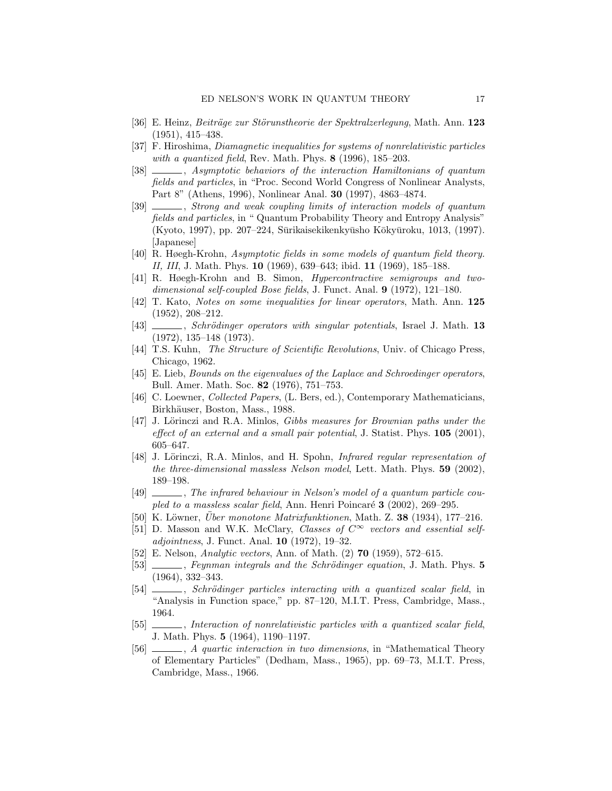- [36] E. Heinz, *Beiträge zur Störunstheorie der Spektralzerlegung*, Math. Ann. 123 (1951), 415–438.
- [37] F. Hiroshima, Diamagnetic inequalities for systems of nonrelativistic particles with a quantized field, Rev. Math. Phys. 8 (1996), 185–203.
- [38]  $\_\_\_\_\_\$ , Asymptotic behaviors of the interaction Hamiltonians of quantum fields and particles, in "Proc. Second World Congress of Nonlinear Analysts, Part 8" (Athens, 1996), Nonlinear Anal. 30 (1997), 4863–4874.
- [39]  $\_\_\_\_\$ , Strong and weak coupling limits of interaction models of quantum fields and particles, in " Quantum Probability Theory and Entropy Analysis" (Kyoto, 1997), pp. 207–224, Sūrikaisekikenkyūsho Kōkyūroku, 1013, (1997). [Japanese]
- [40] R. Høegh-Krohn, Asymptotic fields in some models of quantum field theory. II, III, J. Math. Phys. 10 (1969), 639–643; ibid. 11 (1969), 185–188.
- [41] R. Høegh-Krohn and B. Simon, Hypercontractive semigroups and twodimensional self-coupled Bose fields, J. Funct. Anal. 9 (1972), 121–180.
- [42] T. Kato, Notes on some inequalities for linear operators, Math. Ann. 125 (1952), 208–212.
- $[43]$  , Schrödinger operators with singular potentials, Israel J. Math. 13 (1972), 135–148 (1973).
- [44] T.S. Kuhn, The Structure of Scientific Revolutions, Univ. of Chicago Press, Chicago, 1962.
- [45] E. Lieb, Bounds on the eigenvalues of the Laplace and Schroedinger operators, Bull. Amer. Math. Soc. 82 (1976), 751–753.
- [46] C. Loewner, Collected Papers, (L. Bers, ed.), Contemporary Mathematicians, Birkhäuser, Boston, Mass., 1988.
- [47] J. Lörinczi and R.A. Minlos, Gibbs measures for Brownian paths under the effect of an external and a small pair potential, J. Statist. Phys. 105 (2001), 605–647.
- [48] J. Lörinczi, R.A. Minlos, and H. Spohn, *Infrared regular representation of* the three-dimensional massless Nelson model, Lett. Math. Phys. 59 (2002), 189–198.
- [49]  $\ldots$ , The infrared behaviour in Nelson's model of a quantum particle coupled to a massless scalar field, Ann. Henri Poincaré 3 (2002), 269–295.
- $[50]$  K. Löwner, *Über monotone Matrixfunktionen*, Math. Z. 38 (1934), 177–216.
- [51] D. Masson and W.K. McClary, Classes of  $C^{\infty}$  vectors and essential selfadjointness, J. Funct. Anal. 10 (1972), 19–32.
- [52] E. Nelson, *Analytic vectors*, Ann. of Math. (2) **70** (1959), 572–615.
- [53] , Feynman integrals and the Schrödinger equation, J. Math. Phys. 5 (1964), 332–343.
- $[54]$  , Schrödinger particles interacting with a quantized scalar field, in "Analysis in Function space," pp. 87–120, M.I.T. Press, Cambridge, Mass., 1964.
- [55]  $\quad$ , Interaction of nonrelativistic particles with a quantized scalar field, J. Math. Phys. 5 (1964), 1190–1197.
- [56] , A quartic interaction in two dimensions, in "Mathematical Theory of Elementary Particles" (Dedham, Mass., 1965), pp. 69–73, M.I.T. Press, Cambridge, Mass., 1966.